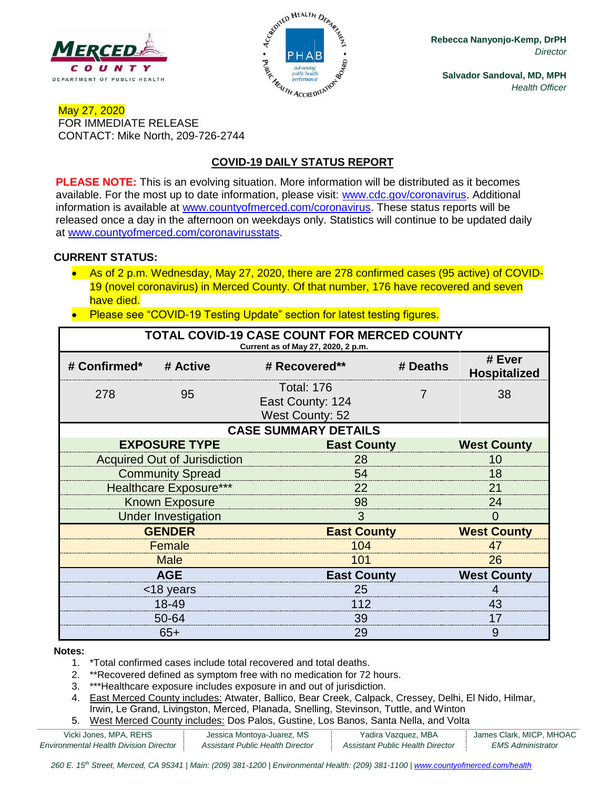



**Rebecca Nanyonjo-Kemp, DrPH** *Director*

**Salvador Sandoval, MD, MPH** *Health Officer*

## May 27, 2020 FOR IMMEDIATE RELEASE CONTACT: Mike North, 209-726-2744

# **COVID-19 DAILY STATUS REPORT**

**PLEASE NOTE:** This is an evolving situation. More information will be distributed as it becomes available. For the most up to date information, please visit: [www.cdc.gov/coronavirus.](http://www.cdc.gov/coronavirus) Additional information is available at [www.countyofmerced.com/coronavirus.](http://www.countyofmerced.com/coronavirus) These status reports will be released once a day in the afternoon on weekdays only. Statistics will continue to be updated daily at [www.countyofmerced.com/coronavirusstats.](http://www.countyofmerced.com/coronavirusstats)

#### **CURRENT STATUS:**

- As of 2 p.m. Wednesday, May 27, 2020, there are 278 confirmed cases (95 active) of COVID-19 (novel coronavirus) in Merced County. Of that number, 176 have recovered and seven have died.
- Please see "COVID-19 Testing Update" section for latest testing figures.

| TOTAL COVID-19 CASE COUNT FOR MERCED COUNTY<br>Current as of May 27, 2020, 2 p.m. |                                     |                                                                 |                    |                               |  |  |  |
|-----------------------------------------------------------------------------------|-------------------------------------|-----------------------------------------------------------------|--------------------|-------------------------------|--|--|--|
| # Confirmed*                                                                      | # Active                            | # Recovered**                                                   | # Deaths           | # Ever<br><b>Hospitalized</b> |  |  |  |
| 278                                                                               | 95                                  | <b>Total: 176</b><br>East County: 124<br><b>West County: 52</b> | 7                  | 38                            |  |  |  |
| <b>CASE SUMMARY DETAILS</b>                                                       |                                     |                                                                 |                    |                               |  |  |  |
|                                                                                   | <b>EXPOSURE TYPE</b>                |                                                                 | <b>East County</b> |                               |  |  |  |
|                                                                                   | <b>Acquired Out of Jurisdiction</b> | 28                                                              |                    |                               |  |  |  |
|                                                                                   | <b>Community Spread</b>             | 54                                                              |                    |                               |  |  |  |
|                                                                                   | <b>Healthcare Exposure***</b>       | 22                                                              |                    |                               |  |  |  |
| <b>Known Exposure</b>                                                             |                                     | 98                                                              |                    |                               |  |  |  |
|                                                                                   | <b>Under Investigation</b>          | 3                                                               |                    |                               |  |  |  |
| <b>GENDER</b>                                                                     |                                     |                                                                 | <b>East County</b> |                               |  |  |  |
| Female                                                                            |                                     | 104                                                             |                    |                               |  |  |  |
|                                                                                   | <b>Male</b>                         | 101                                                             |                    |                               |  |  |  |
| <b>AGE</b>                                                                        |                                     |                                                                 | <b>East County</b> |                               |  |  |  |
| <18 years                                                                         |                                     | 25                                                              |                    |                               |  |  |  |
| 18-49                                                                             |                                     | 112                                                             |                    |                               |  |  |  |
| 50-64                                                                             |                                     | 39                                                              |                    |                               |  |  |  |
| $65+$                                                                             |                                     | 29                                                              |                    | 9                             |  |  |  |

#### **Notes:**

- 1. \*Total confirmed cases include total recovered and total deaths.
- 2. \*\*Recovered defined as symptom free with no medication for 72 hours.
- 3. \*\*\*Healthcare exposure includes exposure in and out of jurisdiction.
- 4. East Merced County includes: Atwater, Ballico, Bear Creek, Calpack, Cressey, Delhi, El Nido, Hilmar, Irwin, Le Grand, Livingston, Merced, Planada, Snelling, Stevinson, Tuttle, and Winton
- 5. West Merced County includes: Dos Palos, Gustine, Los Banos, Santa Nella, and Volta

| Vicki Jones, MPA, REHS                        | Jessica Montoya-Juarez, MS       | Yadira Vazquez, MBA              | James Clark, MICP, MHOAC |
|-----------------------------------------------|----------------------------------|----------------------------------|--------------------------|
| <b>Environmental Health Division Director</b> | Assistant Public Health Director | Assistant Public Health Director | <i>EMS Administrator</i> |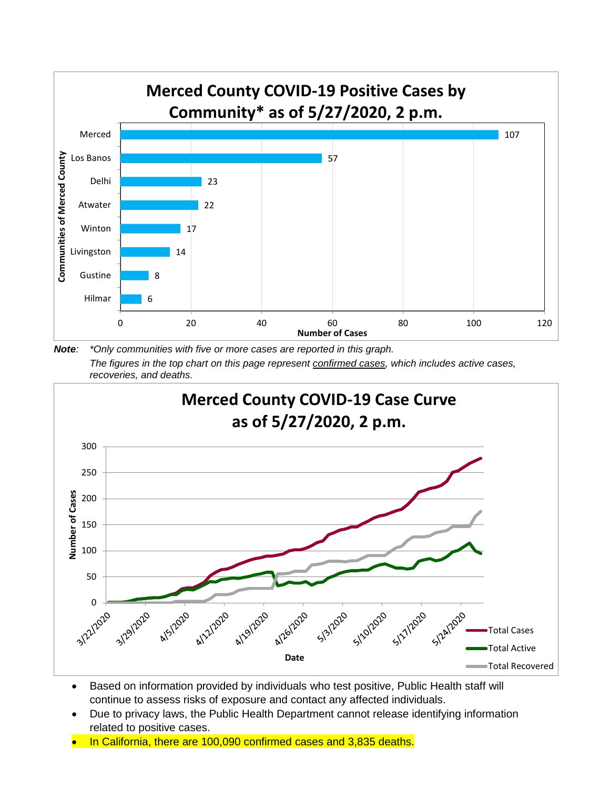

*Note: \*Only communities with five or more cases are reported in this graph. The figures in the top chart on this page represent confirmed cases, which includes active cases, recoveries, and deaths.*



- Based on information provided by individuals who test positive, Public Health staff will continue to assess risks of exposure and contact any affected individuals.
- Due to privacy laws, the Public Health Department cannot release identifying information related to positive cases.
- In California, there are 100,090 confirmed cases and 3,835 deaths.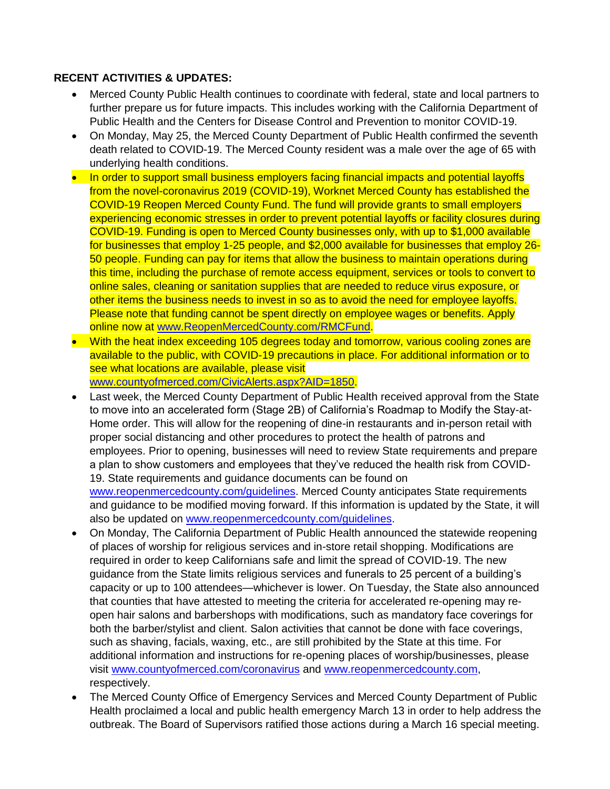### **RECENT ACTIVITIES & UPDATES:**

- Merced County Public Health continues to coordinate with federal, state and local partners to further prepare us for future impacts. This includes working with the California Department of Public Health and the Centers for Disease Control and Prevention to monitor COVID-19.
- On Monday, May 25, the Merced County Department of Public Health confirmed the seventh death related to COVID-19. The Merced County resident was a male over the age of 65 with underlying health conditions.
- In order to support small business employers facing financial impacts and potential layoffs from the novel-coronavirus 2019 (COVID-19), Worknet Merced County has established the COVID-19 Reopen Merced County Fund. The fund will provide grants to small employers experiencing economic stresses in order to prevent potential layoffs or facility closures during COVID-19. Funding is open to Merced County businesses only, with up to \$1,000 available for businesses that employ 1-25 people, and \$2,000 available for businesses that employ 26- 50 people. Funding can pay for items that allow the business to maintain operations during this time, including the purchase of remote access equipment, services or tools to convert to online sales, cleaning or sanitation supplies that are needed to reduce virus exposure, or other items the business needs to invest in so as to avoid the need for employee layoffs. Please note that funding cannot be spent directly on employee wages or benefits. Apply online now at [www.ReopenMercedCounty.com/RMCFund.](http://www.reopenmercedcounty.com/RMCFund)
- With the heat index exceeding 105 degrees today and tomorrow, various cooling zones are available to the public, with COVID-19 precautions in place. For additional information or to see what locations are available, please visit [www.countyofmerced.com/CivicAlerts.aspx?AID=1850.](http://www.countyofmerced.com/CivicAlerts.aspx?AID=1850)
- Last week, the Merced County Department of Public Health received approval from the State to move into an accelerated form (Stage 2B) of California's Roadmap to Modify the Stay-at-Home order. This will allow for the reopening of dine-in restaurants and in-person retail with proper social distancing and other procedures to protect the health of patrons and employees. Prior to opening, businesses will need to review State requirements and prepare a plan to show customers and employees that they've reduced the health risk from COVID-19. State requirements and guidance documents can be found on [www.reopenmercedcounty.com/guidelines.](http://www.reopenmercedcounty.com/guidelines) Merced County anticipates State requirements and guidance to be modified moving forward. If this information is updated by the State, it will also be updated on [www.reopenmercedcounty.com/guidelines.](http://www.reopenmercedcounty.com/guidelines)
- On Monday, The California Department of Public Health announced the statewide reopening of places of worship for religious services and in-store retail shopping. Modifications are required in order to keep Californians safe and limit the spread of COVID-19. The new guidance from the State limits religious services and funerals to 25 percent of a building's capacity or up to 100 attendees—whichever is lower. On Tuesday, the State also announced that counties that have attested to meeting the criteria for accelerated re-opening may reopen hair salons and barbershops with modifications, such as mandatory face coverings for both the barber/stylist and client. Salon activities that cannot be done with face coverings, such as shaving, facials, waxing, etc., are still prohibited by the State at this time. For additional information and instructions for re-opening places of worship/businesses, please visit [www.countyofmerced.com/coronavirus](http://www.countyofmerced.com/coronavirus) and [www.reopenmercedcounty.com,](http://www.reopenmercedcounty.com/) respectively.
- The Merced County Office of Emergency Services and Merced County Department of Public Health proclaimed a local and public health emergency March 13 in order to help address the outbreak. The Board of Supervisors ratified those actions during a March 16 special meeting.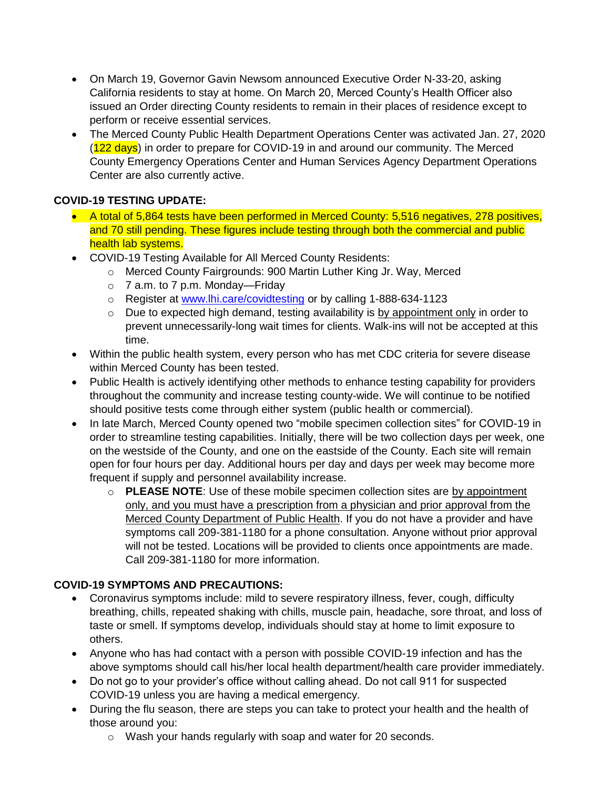- On March 19, Governor Gavin Newsom announced Executive Order N-33-20, asking California residents to stay at home. On March 20, Merced County's Health Officer also issued an Order directing County residents to remain in their places of residence except to perform or receive essential services.
- The Merced County Public Health Department Operations Center was activated Jan. 27, 2020 (122 days) in order to prepare for COVID-19 in and around our community. The Merced County Emergency Operations Center and Human Services Agency Department Operations Center are also currently active.

## **COVID-19 TESTING UPDATE:**

- A total of 5,864 tests have been performed in Merced County: 5,516 negatives, 278 positives, and 70 still pending. These figures include testing through both the commercial and public health lab systems.
- COVID-19 Testing Available for All Merced County Residents:
	- o Merced County Fairgrounds: 900 Martin Luther King Jr. Way, Merced
	- $\circ$  7 a.m. to 7 p.m. Monday—Friday
	- o Register at [www.lhi.care/covidtesting](http://www.lhi.care/covidtesting) or by calling 1-888-634-1123
	- o Due to expected high demand, testing availability is by appointment only in order to prevent unnecessarily-long wait times for clients. Walk-ins will not be accepted at this time.
- Within the public health system, every person who has met CDC criteria for severe disease within Merced County has been tested.
- Public Health is actively identifying other methods to enhance testing capability for providers throughout the community and increase testing county-wide. We will continue to be notified should positive tests come through either system (public health or commercial).
- In late March, Merced County opened two "mobile specimen collection sites" for COVID-19 in order to streamline testing capabilities. Initially, there will be two collection days per week, one on the westside of the County, and one on the eastside of the County. Each site will remain open for four hours per day. Additional hours per day and days per week may become more frequent if supply and personnel availability increase.
	- o **PLEASE NOTE**: Use of these mobile specimen collection sites are by appointment only, and you must have a prescription from a physician and prior approval from the Merced County Department of Public Health. If you do not have a provider and have symptoms call 209-381-1180 for a phone consultation. Anyone without prior approval will not be tested. Locations will be provided to clients once appointments are made. Call 209-381-1180 for more information.

# **COVID-19 SYMPTOMS AND PRECAUTIONS:**

- Coronavirus symptoms include: mild to severe respiratory illness, fever, cough, difficulty breathing, chills, repeated shaking with chills, muscle pain, headache, sore throat, and loss of taste or smell. If symptoms develop, individuals should stay at home to limit exposure to others.
- Anyone who has had contact with a person with possible COVID-19 infection and has the above symptoms should call his/her local health department/health care provider immediately.
- Do not go to your provider's office without calling ahead. Do not call 911 for suspected COVID-19 unless you are having a medical emergency.
- During the flu season, there are steps you can take to protect your health and the health of those around you:
	- o Wash your hands regularly with soap and water for 20 seconds.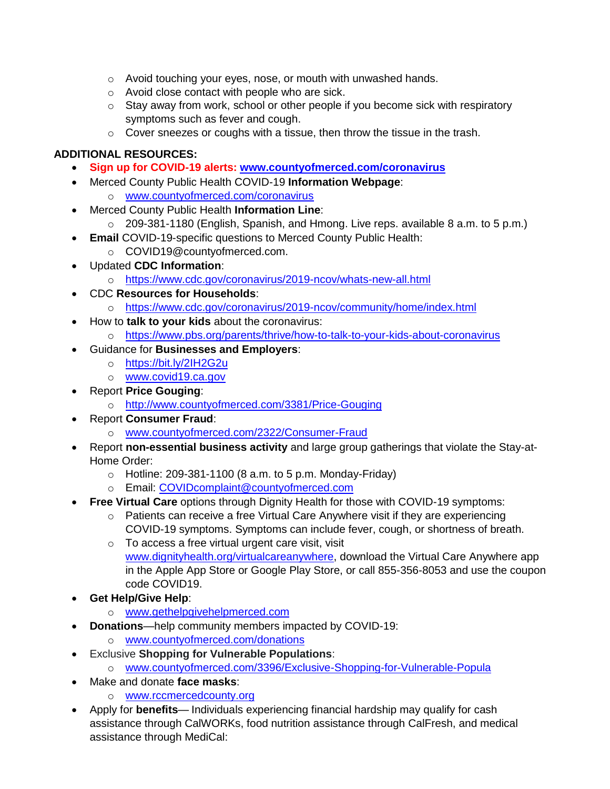- o Avoid touching your eyes, nose, or mouth with unwashed hands.
- o Avoid close contact with people who are sick.
- $\circ$  Stay away from work, school or other people if you become sick with respiratory symptoms such as fever and cough.
- $\circ$  Cover sneezes or coughs with a tissue, then throw the tissue in the trash.

## **ADDITIONAL RESOURCES:**

- **Sign up for COVID-19 alerts: [www.countyofmerced.com/coronavirus](http://www.countyofmerced.com/coronavirus)**
- Merced County Public Health COVID-19 **Information Webpage**:
	- o [www.countyofmerced.com/coronavirus](http://www.countyofmerced.com/coronavirus)
- Merced County Public Health **Information Line**:
	- o 209-381-1180 (English, Spanish, and Hmong. Live reps. available 8 a.m. to 5 p.m.)
- **Email COVID-19-specific questions to Merced County Public Health:** 
	- o COVID19@countyofmerced.com.
- Updated **CDC Information**:
	- o <https://www.cdc.gov/coronavirus/2019-ncov/whats-new-all.html>
- CDC **Resources for Households**:
	- o <https://www.cdc.gov/coronavirus/2019-ncov/community/home/index.html>
- How to **talk to your kids** about the coronavirus:
	- o <https://www.pbs.org/parents/thrive/how-to-talk-to-your-kids-about-coronavirus>
- Guidance for **Businesses and Employers**:
	- o <https://bit.ly/2IH2G2u>
	- o [www.covid19.ca.gov](http://www.covid19.ca.gov/)
- Report **Price Gouging**:
	- o <http://www.countyofmerced.com/3381/Price-Gouging>
- Report **Consumer Fraud**:
	- o [www.countyofmerced.com/2322/Consumer-Fraud](http://www.countyofmerced.com/2322/Consumer-Fraud)
- Report **non-essential business activity** and large group gatherings that violate the Stay-at-Home Order:
	- $\circ$  Hotline: 209-381-1100 (8 a.m. to 5 p.m. Monday-Friday)
	- o Email: [COVIDcomplaint@countyofmerced.com](mailto:COVIDcomplaint@countyofmerced.com)
- **Free Virtual Care** options through Dignity Health for those with COVID-19 symptoms:
	- o Patients can receive a free Virtual Care Anywhere visit if they are experiencing COVID-19 symptoms. Symptoms can include fever, cough, or shortness of breath.
	- o To access a free virtual urgent care visit, visit [www.dignityhealth.org/virtualcareanywhere,](http://www.dignityhealth.org/virtualcareanywhere) download the Virtual Care Anywhere app in the Apple App Store or Google Play Store, or call 855-356-8053 and use the coupon code COVID19.
- **Get Help/Give Help**:
	- o [www.gethelpgivehelpmerced.com](http://www.gethelpgivehelpmerced.com/)
- **Donations**—help community members impacted by COVID-19:
	- o [www.countyofmerced.com/donations](http://www.countyofmerced.com/donations)
- Exclusive **Shopping for Vulnerable Populations**:
	- o [www.countyofmerced.com/3396/Exclusive-Shopping-for-Vulnerable-Popula](http://www.countyofmerced.com/3396/Exclusive-Shopping-for-Vulnerable-Popula)
- Make and donate **face masks**:
	- o [www.rccmercedcounty.org](http://www.rccmercedcounty.org/)
- Apply for **benefits** Individuals experiencing financial hardship may qualify for cash assistance through CalWORKs, food nutrition assistance through CalFresh, and medical assistance through MediCal: